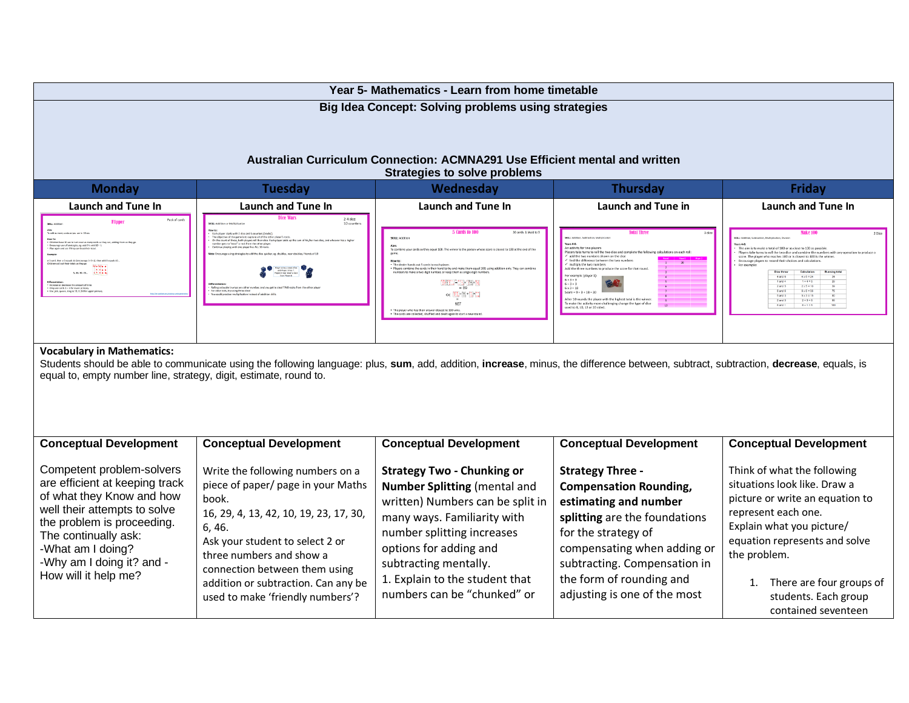|                                                                   |                                                                                                                                                                                     | Year 5- Mathematics - Learn from home timetable                                                                    |                                                                                                                                                             |                                                                                                                                 |
|-------------------------------------------------------------------|-------------------------------------------------------------------------------------------------------------------------------------------------------------------------------------|--------------------------------------------------------------------------------------------------------------------|-------------------------------------------------------------------------------------------------------------------------------------------------------------|---------------------------------------------------------------------------------------------------------------------------------|
|                                                                   |                                                                                                                                                                                     | <b>Big Idea Concept: Solving problems using strategies</b>                                                         |                                                                                                                                                             |                                                                                                                                 |
|                                                                   |                                                                                                                                                                                     |                                                                                                                    |                                                                                                                                                             |                                                                                                                                 |
|                                                                   |                                                                                                                                                                                     |                                                                                                                    |                                                                                                                                                             |                                                                                                                                 |
|                                                                   |                                                                                                                                                                                     | Australian Curriculum Connection: ACMNA291 Use Efficient mental and written<br><b>Strategies to solve problems</b> |                                                                                                                                                             |                                                                                                                                 |
| <b>Monday</b>                                                     | <b>Tuesday</b>                                                                                                                                                                      | Wednesday                                                                                                          | <b>Thursday</b>                                                                                                                                             | <b>Friday</b>                                                                                                                   |
| <b>Launch and Tune In</b>                                         | <b>Launch and Tune In</b>                                                                                                                                                           | Launch and Tune In                                                                                                 | Launch and Tune in                                                                                                                                          | <b>Launch and Tune In</b>                                                                                                       |
|                                                                   | 2-4 dice                                                                                                                                                                            |                                                                                                                    |                                                                                                                                                             |                                                                                                                                 |
|                                                                   |                                                                                                                                                                                     |                                                                                                                    | vers take turns to roll the two dice and com                                                                                                                | The aim is to make a total of 100 or as close to 100 as pos                                                                     |
|                                                                   |                                                                                                                                                                                     |                                                                                                                    | dd the two numbers shown on the dice                                                                                                                        | .<br>Players take turns to roll the two dice and combine the nu<br>score. The player who reaches 100 or is closest to 100 is tl |
|                                                                   |                                                                                                                                                                                     |                                                                                                                    |                                                                                                                                                             | $4$ and $6$<br>$4 × 6 = 24$<br>9 and 6<br>$2 \times 5 = 10$<br>$6 \times 6 = 36$<br>6 and 6                                     |
|                                                                   |                                                                                                                                                                                     |                                                                                                                    | lifter 10 munds the player with the highest total is the w<br>o make the activity more challenging change the type of dice<br>sed to 8, 10, 12 or 20 sided. | $6 \times 3 = 15$<br>5 and 3<br>$2 + 3 = 5$<br>$2$ and $3$<br>$4 - 1 = 5$                                                       |
|                                                                   |                                                                                                                                                                                     |                                                                                                                    |                                                                                                                                                             |                                                                                                                                 |
| <b>Vocabulary in Mathematics:</b>                                 |                                                                                                                                                                                     |                                                                                                                    |                                                                                                                                                             |                                                                                                                                 |
|                                                                   | Students should be able to communicate using the following language: plus, sum, add, addition, increase, minus, the difference between, subtract, subtraction, decrease, equals, is |                                                                                                                    |                                                                                                                                                             |                                                                                                                                 |
| equal to, empty number line, strategy, digit, estimate, round to. |                                                                                                                                                                                     |                                                                                                                    |                                                                                                                                                             |                                                                                                                                 |
|                                                                   |                                                                                                                                                                                     |                                                                                                                    |                                                                                                                                                             |                                                                                                                                 |
|                                                                   |                                                                                                                                                                                     |                                                                                                                    |                                                                                                                                                             |                                                                                                                                 |
| <b>Conceptual Development</b>                                     | <b>Conceptual Development</b>                                                                                                                                                       | <b>Conceptual Development</b>                                                                                      | <b>Conceptual Development</b>                                                                                                                               | <b>Conceptual Development</b>                                                                                                   |
| Competent problem-solvers                                         | Write the following numbers on a                                                                                                                                                    | <b>Strategy Two - Chunking or</b>                                                                                  | <b>Strategy Three -</b>                                                                                                                                     | Think of what the following                                                                                                     |
| are efficient at keeping track                                    | piece of paper/ page in your Maths                                                                                                                                                  | <b>Number Splitting (mental and</b>                                                                                | <b>Compensation Rounding,</b>                                                                                                                               | situations look like. Draw a                                                                                                    |
| of what they Know and how<br>well their attempts to solve         | book.<br>16, 29, 4, 13, 42, 10, 19, 23, 17, 30,                                                                                                                                     | written) Numbers can be split in                                                                                   | estimating and number                                                                                                                                       | picture or write an equation to<br>represent each one.                                                                          |
| the problem is proceeding.                                        | 6, 46.                                                                                                                                                                              | many ways. Familiarity with<br>number splitting increases                                                          | splitting are the foundations<br>for the strategy of                                                                                                        | Explain what you picture/                                                                                                       |
| The continually ask:<br>-What am I doing?                         | Ask your student to select 2 or                                                                                                                                                     | options for adding and                                                                                             | compensating when adding or                                                                                                                                 | equation represents and solve                                                                                                   |
| -Why am I doing it? and -                                         | three numbers and show a<br>connection between them using                                                                                                                           | subtracting mentally.                                                                                              | subtracting. Compensation in                                                                                                                                | the problem.                                                                                                                    |
| How will it help me?                                              | addition or subtraction. Can any be                                                                                                                                                 | 1. Explain to the student that                                                                                     | the form of rounding and                                                                                                                                    | 1. There are four groups of                                                                                                     |
|                                                                   | used to make 'friendly numbers'?                                                                                                                                                    | numbers can be "chunked" or                                                                                        | adjusting is one of the most                                                                                                                                | students. Each group<br>contained seventeen                                                                                     |
|                                                                   |                                                                                                                                                                                     |                                                                                                                    |                                                                                                                                                             |                                                                                                                                 |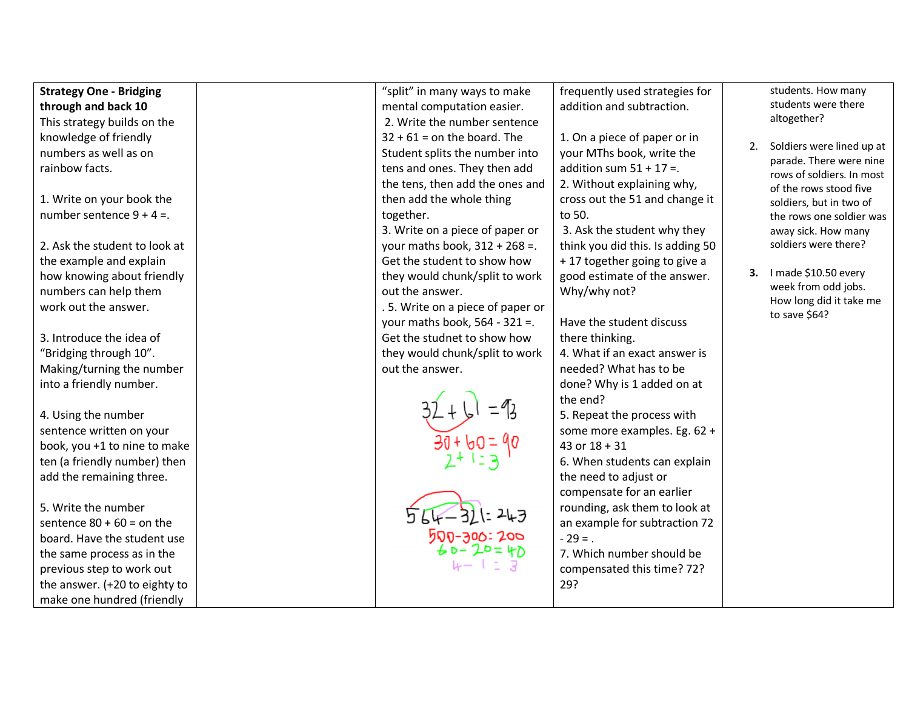| <b>Strategy One - Bridging</b> | "split" in many ways to make     | frequently used strategies for   |    | students. How many                                   |
|--------------------------------|----------------------------------|----------------------------------|----|------------------------------------------------------|
| through and back 10            | mental computation easier.       | addition and subtraction.        |    | students were there                                  |
| This strategy builds on the    | 2. Write the number sentence     |                                  |    | altogether?                                          |
| knowledge of friendly          | $32 + 61 =$ on the board. The    | 1. On a piece of paper or in     |    |                                                      |
| numbers as well as on          | Student splits the number into   | your MThs book, write the        | 2. | Soldiers were lined up at<br>parade. There were nine |
| rainbow facts.                 | tens and ones. They then add     | addition sum $51 + 17 =$ .       |    | rows of soldiers. In most                            |
|                                | the tens, then add the ones and  | 2. Without explaining why,       |    | of the rows stood five                               |
| 1. Write on your book the      | then add the whole thing         | cross out the 51 and change it   |    | soldiers, but in two of                              |
| number sentence $9 + 4 =$ .    | together.                        | to 50.                           |    | the rows one soldier was                             |
|                                | 3. Write on a piece of paper or  | 3. Ask the student why they      |    | away sick. How many                                  |
| 2. Ask the student to look at  | your maths book, $312 + 268 =$ . | think you did this. Is adding 50 |    | soldiers were there?                                 |
| the example and explain        | Get the student to show how      | +17 together going to give a     |    |                                                      |
| how knowing about friendly     | they would chunk/split to work   | good estimate of the answer.     |    | 3. I made \$10.50 every                              |
| numbers can help them          | out the answer.                  | Why/why not?                     |    | week from odd jobs.                                  |
| work out the answer.           | .5. Write on a piece of paper or |                                  |    | How long did it take me                              |
|                                | your maths book, $564 - 321 =$ . | Have the student discuss         |    | to save \$64?                                        |
| 3. Introduce the idea of       | Get the studnet to show how      | there thinking.                  |    |                                                      |
| "Bridging through 10".         | they would chunk/split to work   | 4. What if an exact answer is    |    |                                                      |
| Making/turning the number      | out the answer.                  | needed? What has to be           |    |                                                      |
| into a friendly number.        |                                  | done? Why is 1 added on at       |    |                                                      |
|                                |                                  | the end?                         |    |                                                      |
| 4. Using the number            |                                  | 5. Repeat the process with       |    |                                                      |
| sentence written on your       |                                  | some more examples. Eg. 62 +     |    |                                                      |
| book, you +1 to nine to make   |                                  | 43 or $18 + 31$                  |    |                                                      |
| ten (a friendly number) then   |                                  | 6. When students can explain     |    |                                                      |
| add the remaining three.       |                                  | the need to adjust or            |    |                                                      |
|                                |                                  | compensate for an earlier        |    |                                                      |
| 5. Write the number            |                                  | rounding, ask them to look at    |    |                                                      |
| sentence $80 + 60 =$ on the    |                                  | an example for subtraction 72    |    |                                                      |
| board. Have the student use    | 500-300:200<br>40-20=40          | $-29 = .$                        |    |                                                      |
| the same process as in the     |                                  | 7. Which number should be        |    |                                                      |
| previous step to work out      |                                  | compensated this time? 72?       |    |                                                      |
| the answer. (+20 to eighty to  |                                  | 29?                              |    |                                                      |
| make one hundred (friendly     |                                  |                                  |    |                                                      |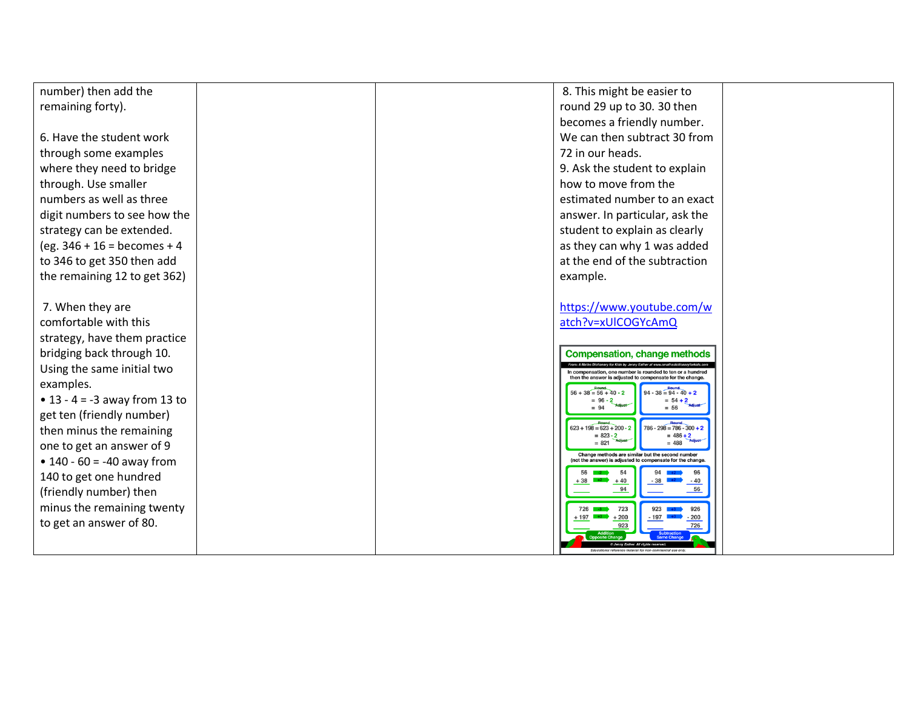| round 29 up to 30. 30 then<br>remaining forty).<br>becomes a friendly number.<br>We can then subtract 30 from<br>6. Have the student work<br>72 in our heads.<br>through some examples<br>9. Ask the student to explain<br>where they need to bridge<br>through. Use smaller<br>how to move from the<br>numbers as well as three<br>estimated number to an exact<br>digit numbers to see how the<br>answer. In particular, ask the<br>strategy can be extended.<br>student to explain as clearly<br>$(eg. 346 + 16 = becomes + 4)$<br>as they can why 1 was added<br>to 346 to get 350 then add<br>at the end of the subtraction<br>the remaining 12 to get 362)<br>example.<br>https://www.youtube.com/w<br>7. When they are<br>atch?v=xUICOGYcAmQ<br>comfortable with this<br>strategy, have them practice<br>bridging back through 10.<br><b>Compensation, change methods</b><br>Using the same initial two<br>n compensation, one number is rounded to ten or a hundred<br>en the answer is adiusted to compensate for the change<br>examples.<br>$94 - 38 = 94 - 40 + 2$<br>$56 + 38 = 56 + 40 - 2$<br>• $13 - 4 = -3$ away from 13 to<br>$= 54 + 2$<br>$= 56$<br>$= 94$<br>get ten (friendly number)<br>$786 - 298 = 786 - 300 +$<br>$\frac{$ Round<br>623 + 198 = 623 + 200 - 2<br>then minus the remaining<br>$= 823 - 2$<br>$= 486 + 2$<br>$= 821$<br>$= 488$<br>one to get an answer of 9<br>Change methods are similar but the second number<br>• $140 - 60 = -40$ away from<br>ot the answer) is adjusted to compensate for the change | number) then add the |  | 8. This might be easier to |  |
|----------------------------------------------------------------------------------------------------------------------------------------------------------------------------------------------------------------------------------------------------------------------------------------------------------------------------------------------------------------------------------------------------------------------------------------------------------------------------------------------------------------------------------------------------------------------------------------------------------------------------------------------------------------------------------------------------------------------------------------------------------------------------------------------------------------------------------------------------------------------------------------------------------------------------------------------------------------------------------------------------------------------------------------------------------------------------------------------------------------------------------------------------------------------------------------------------------------------------------------------------------------------------------------------------------------------------------------------------------------------------------------------------------------------------------------------------------------------------------------------------------------------------------------------------|----------------------|--|----------------------------|--|
|                                                                                                                                                                                                                                                                                                                                                                                                                                                                                                                                                                                                                                                                                                                                                                                                                                                                                                                                                                                                                                                                                                                                                                                                                                                                                                                                                                                                                                                                                                                                                    |                      |  |                            |  |
|                                                                                                                                                                                                                                                                                                                                                                                                                                                                                                                                                                                                                                                                                                                                                                                                                                                                                                                                                                                                                                                                                                                                                                                                                                                                                                                                                                                                                                                                                                                                                    |                      |  |                            |  |
|                                                                                                                                                                                                                                                                                                                                                                                                                                                                                                                                                                                                                                                                                                                                                                                                                                                                                                                                                                                                                                                                                                                                                                                                                                                                                                                                                                                                                                                                                                                                                    |                      |  |                            |  |
|                                                                                                                                                                                                                                                                                                                                                                                                                                                                                                                                                                                                                                                                                                                                                                                                                                                                                                                                                                                                                                                                                                                                                                                                                                                                                                                                                                                                                                                                                                                                                    |                      |  |                            |  |
|                                                                                                                                                                                                                                                                                                                                                                                                                                                                                                                                                                                                                                                                                                                                                                                                                                                                                                                                                                                                                                                                                                                                                                                                                                                                                                                                                                                                                                                                                                                                                    |                      |  |                            |  |
|                                                                                                                                                                                                                                                                                                                                                                                                                                                                                                                                                                                                                                                                                                                                                                                                                                                                                                                                                                                                                                                                                                                                                                                                                                                                                                                                                                                                                                                                                                                                                    |                      |  |                            |  |
|                                                                                                                                                                                                                                                                                                                                                                                                                                                                                                                                                                                                                                                                                                                                                                                                                                                                                                                                                                                                                                                                                                                                                                                                                                                                                                                                                                                                                                                                                                                                                    |                      |  |                            |  |
|                                                                                                                                                                                                                                                                                                                                                                                                                                                                                                                                                                                                                                                                                                                                                                                                                                                                                                                                                                                                                                                                                                                                                                                                                                                                                                                                                                                                                                                                                                                                                    |                      |  |                            |  |
|                                                                                                                                                                                                                                                                                                                                                                                                                                                                                                                                                                                                                                                                                                                                                                                                                                                                                                                                                                                                                                                                                                                                                                                                                                                                                                                                                                                                                                                                                                                                                    |                      |  |                            |  |
|                                                                                                                                                                                                                                                                                                                                                                                                                                                                                                                                                                                                                                                                                                                                                                                                                                                                                                                                                                                                                                                                                                                                                                                                                                                                                                                                                                                                                                                                                                                                                    |                      |  |                            |  |
|                                                                                                                                                                                                                                                                                                                                                                                                                                                                                                                                                                                                                                                                                                                                                                                                                                                                                                                                                                                                                                                                                                                                                                                                                                                                                                                                                                                                                                                                                                                                                    |                      |  |                            |  |
|                                                                                                                                                                                                                                                                                                                                                                                                                                                                                                                                                                                                                                                                                                                                                                                                                                                                                                                                                                                                                                                                                                                                                                                                                                                                                                                                                                                                                                                                                                                                                    |                      |  |                            |  |
| 54<br>140 to get one hundred<br>$+40$<br>+ 38<br>94<br>(friendly number) then<br>minus the remaining twenty<br>723<br>926<br>726<br>$+200$<br>$-197$ $+3$<br>197<br>$-200$                                                                                                                                                                                                                                                                                                                                                                                                                                                                                                                                                                                                                                                                                                                                                                                                                                                                                                                                                                                                                                                                                                                                                                                                                                                                                                                                                                         |                      |  |                            |  |
| to get an answer of 80.                                                                                                                                                                                                                                                                                                                                                                                                                                                                                                                                                                                                                                                                                                                                                                                                                                                                                                                                                                                                                                                                                                                                                                                                                                                                                                                                                                                                                                                                                                                            |                      |  |                            |  |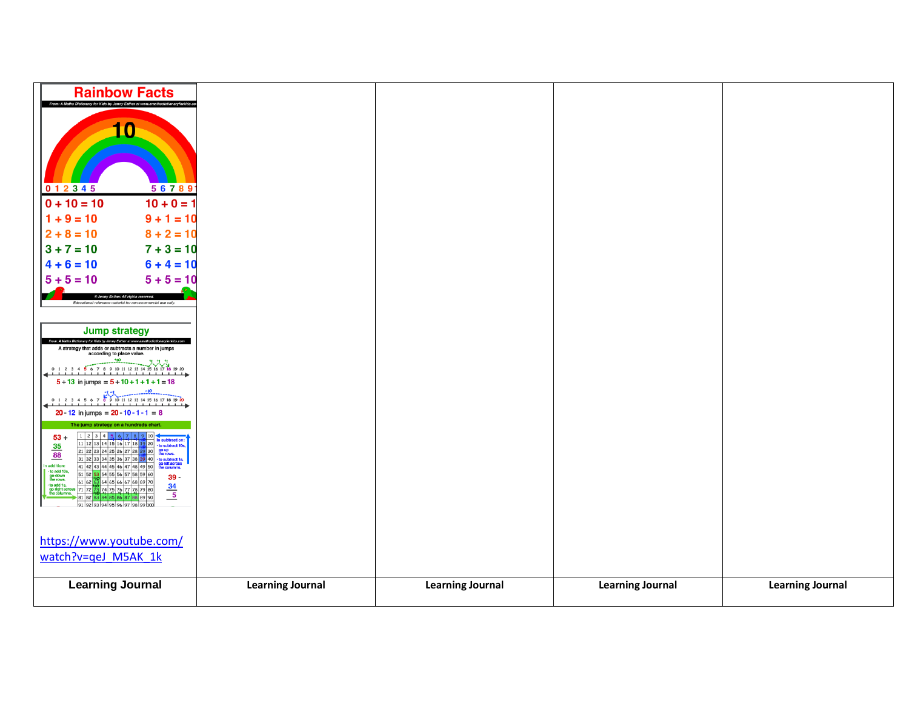| <b>Rainbow Facts</b><br>From: A Maths Dictionary for Kids by Jenny Eather at www.                                                                                                                                                                                                                                                                                                       |                         |                         |                         |                         |
|-----------------------------------------------------------------------------------------------------------------------------------------------------------------------------------------------------------------------------------------------------------------------------------------------------------------------------------------------------------------------------------------|-------------------------|-------------------------|-------------------------|-------------------------|
| 10                                                                                                                                                                                                                                                                                                                                                                                      |                         |                         |                         |                         |
|                                                                                                                                                                                                                                                                                                                                                                                         |                         |                         |                         |                         |
|                                                                                                                                                                                                                                                                                                                                                                                         |                         |                         |                         |                         |
| 0 1 2 3 4 5<br>56789                                                                                                                                                                                                                                                                                                                                                                    |                         |                         |                         |                         |
| $0 + 10 = 10$<br>$10 + 0 = 1$                                                                                                                                                                                                                                                                                                                                                           |                         |                         |                         |                         |
| $9 + 1 = 10$<br>$1 + 9 = 10$                                                                                                                                                                                                                                                                                                                                                            |                         |                         |                         |                         |
| $8 + 2 = 10$<br>$2 + 8 = 10$                                                                                                                                                                                                                                                                                                                                                            |                         |                         |                         |                         |
| $7 + 3 = 10$<br>$3 + 7 = 10$                                                                                                                                                                                                                                                                                                                                                            |                         |                         |                         |                         |
| $6 + 4 = 10$<br>$4 + 6 = 10$                                                                                                                                                                                                                                                                                                                                                            |                         |                         |                         |                         |
| $5 + 5 = 10$<br>$5 + 5 = 10$                                                                                                                                                                                                                                                                                                                                                            |                         |                         |                         |                         |
| @ Jenny Eather. All rights rese<br>Educational reference material for non-commercial use only.                                                                                                                                                                                                                                                                                          |                         |                         |                         |                         |
|                                                                                                                                                                                                                                                                                                                                                                                         |                         |                         |                         |                         |
| <b>Jump strategy</b>                                                                                                                                                                                                                                                                                                                                                                    |                         |                         |                         |                         |
| A strategy that adds or subtracts a number in jumps<br>according to place value.                                                                                                                                                                                                                                                                                                        |                         |                         |                         |                         |
| $0\ 1\ 2\ 3\ 4\ 5\ 6\ 7\ 8\ 9\ 10\ 11\ 12\ 13\ 14\ 15\ 16\ 17\ 18\ 19\ 20$                                                                                                                                                                                                                                                                                                              |                         |                         |                         |                         |
| $5 + 13$ in jumps = $5 + 10 + 1 + 1 + 1 = 18$                                                                                                                                                                                                                                                                                                                                           |                         |                         |                         |                         |
| $0 1 2 3 4 5 6 7 8 9 10 11 12 13 14 15 16 17 18 19 20$<br>20 - 12 in jumps = $20 - 10 - 1 - 1 = 8$                                                                                                                                                                                                                                                                                      |                         |                         |                         |                         |
| The jump strategy on a hundreds chart                                                                                                                                                                                                                                                                                                                                                   |                         |                         |                         |                         |
| $\frac{1}{21} \frac{2}{32} \frac{3}{34} \frac{4}{35} \frac{5}{16} \frac{7}{17} \frac{8}{18} \frac{9}{180} \frac{10}{100} \frac{1}{16} \frac{1}{160} \frac{1}{160}$<br>$\frac{21}{22} \frac{22}{32} \frac{24}{34} \frac{25}{35} \frac{16}{37} \frac{17}{38} \frac{18}{32} \frac{10}{32} \frac{10}{32} \frac{1}{360} \frac{1}{360} \frac{1}{360} \frac{1}{36$<br>$53+$<br>$\frac{35}{88}$ |                         |                         |                         |                         |
| addition                                                                                                                                                                                                                                                                                                                                                                                |                         |                         |                         |                         |
| $\cdot$ to add 10s,<br>$39 -$<br>go down<br>the rows.<br>61 62 63 64 65 66 67 68 69 70<br>- to add 1s,                                                                                                                                                                                                                                                                                  |                         |                         |                         |                         |
| $\frac{34}{5}$<br>go right across 71 72 73 74 75 76 77 78 79 80<br>86 87 88 89 90<br>81 82 83 84 85                                                                                                                                                                                                                                                                                     |                         |                         |                         |                         |
| 919293949596979899100                                                                                                                                                                                                                                                                                                                                                                   |                         |                         |                         |                         |
|                                                                                                                                                                                                                                                                                                                                                                                         |                         |                         |                         |                         |
| https://www.youtube.com/                                                                                                                                                                                                                                                                                                                                                                |                         |                         |                         |                         |
| watch?v=qeJ M5AK 1k                                                                                                                                                                                                                                                                                                                                                                     |                         |                         |                         |                         |
| <b>Learning Journal</b>                                                                                                                                                                                                                                                                                                                                                                 | <b>Learning Journal</b> | <b>Learning Journal</b> | <b>Learning Journal</b> | <b>Learning Journal</b> |
|                                                                                                                                                                                                                                                                                                                                                                                         |                         |                         |                         |                         |